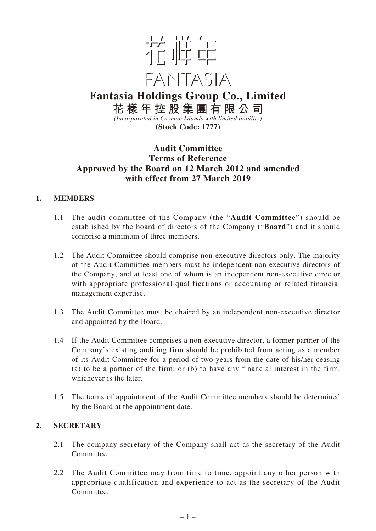

**Fantasia Holdings Group Co., Limited 花樣年控股集團有限公司**

*(Incorporated in Cayman Islands with limited liability)* **(Stock Code: 1777)**

# **Audit Committee Terms of Reference Approved by the Board on 12 March 2012 and amended with effect from 27 March 2019**

# **1. MEMBERS**

- 1.1 The audit committee of the Company (the "**Audit Committee**") should be established by the board of directors of the Company ("**Board**") and it should comprise a minimum of three members.
- 1.2 The Audit Committee should comprise non-executive directors only. The majority of the Audit Committee members must be independent non-executive directors of the Company, and at least one of whom is an independent non-executive director with appropriate professional qualifications or accounting or related financial management expertise.
- 1.3 The Audit Committee must be chaired by an independent non-executive director and appointed by the Board.
- 1.4 If the Audit Committee comprises a non-executive director, a former partner of the Company's existing auditing firm should be prohibited from acting as a member of its Audit Committee for a period of two years from the date of his/her ceasing (a) to be a partner of the firm; or (b) to have any financial interest in the firm, whichever is the later.
- 1.5 The terms of appointment of the Audit Committee members should be determined by the Board at the appointment date.

# **2. SECRETARY**

- 2.1 The company secretary of the Company shall act as the secretary of the Audit Committee.
- 2.2 The Audit Committee may from time to time, appoint any other person with appropriate qualification and experience to act as the secretary of the Audit Committee.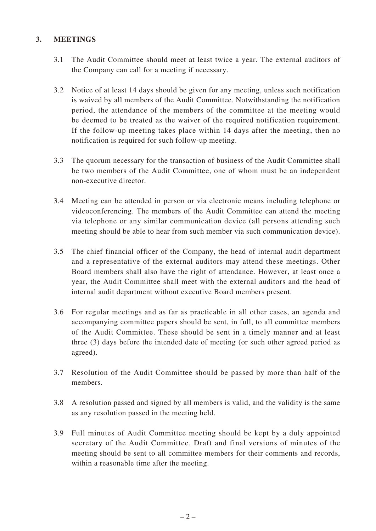# **3. MEETINGS**

- 3.1 The Audit Committee should meet at least twice a year. The external auditors of the Company can call for a meeting if necessary.
- 3.2 Notice of at least 14 days should be given for any meeting, unless such notification is waived by all members of the Audit Committee. Notwithstanding the notification period, the attendance of the members of the committee at the meeting would be deemed to be treated as the waiver of the required notification requirement. If the follow-up meeting takes place within 14 days after the meeting, then no notification is required for such follow-up meeting.
- 3.3 The quorum necessary for the transaction of business of the Audit Committee shall be two members of the Audit Committee, one of whom must be an independent non-executive director.
- 3.4 Meeting can be attended in person or via electronic means including telephone or videoconferencing. The members of the Audit Committee can attend the meeting via telephone or any similar communication device (all persons attending such meeting should be able to hear from such member via such communication device).
- 3.5 The chief financial officer of the Company, the head of internal audit department and a representative of the external auditors may attend these meetings. Other Board members shall also have the right of attendance. However, at least once a year, the Audit Committee shall meet with the external auditors and the head of internal audit department without executive Board members present.
- 3.6 For regular meetings and as far as practicable in all other cases, an agenda and accompanying committee papers should be sent, in full, to all committee members of the Audit Committee. These should be sent in a timely manner and at least three (3) days before the intended date of meeting (or such other agreed period as agreed).
- 3.7 Resolution of the Audit Committee should be passed by more than half of the members.
- 3.8 A resolution passed and signed by all members is valid, and the validity is the same as any resolution passed in the meeting held.
- 3.9 Full minutes of Audit Committee meeting should be kept by a duly appointed secretary of the Audit Committee. Draft and final versions of minutes of the meeting should be sent to all committee members for their comments and records, within a reasonable time after the meeting.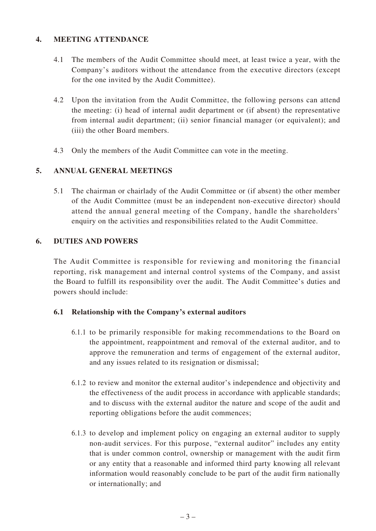### **4. MEETING ATTENDANCE**

- 4.1 The members of the Audit Committee should meet, at least twice a year, with the Company's auditors without the attendance from the executive directors (except for the one invited by the Audit Committee).
- 4.2 Upon the invitation from the Audit Committee, the following persons can attend the meeting: (i) head of internal audit department or (if absent) the representative from internal audit department; (ii) senior financial manager (or equivalent); and (iii) the other Board members.
- 4.3 Only the members of the Audit Committee can vote in the meeting.

### **5. ANNUAL GENERAL MEETINGS**

5.1 The chairman or chairlady of the Audit Committee or (if absent) the other member of the Audit Committee (must be an independent non-executive director) should attend the annual general meeting of the Company, handle the shareholders' enquiry on the activities and responsibilities related to the Audit Committee.

# **6. DUTIES AND POWERS**

The Audit Committee is responsible for reviewing and monitoring the financial reporting, risk management and internal control systems of the Company, and assist the Board to fulfill its responsibility over the audit. The Audit Committee's duties and powers should include:

#### **6.1 Relationship with the Company's external auditors**

- 6.1.1 to be primarily responsible for making recommendations to the Board on the appointment, reappointment and removal of the external auditor, and to approve the remuneration and terms of engagement of the external auditor, and any issues related to its resignation or dismissal;
- 6.1.2 to review and monitor the external auditor's independence and objectivity and the effectiveness of the audit process in accordance with applicable standards; and to discuss with the external auditor the nature and scope of the audit and reporting obligations before the audit commences;
- 6.1.3 to develop and implement policy on engaging an external auditor to supply non-audit services. For this purpose, "external auditor" includes any entity that is under common control, ownership or management with the audit firm or any entity that a reasonable and informed third party knowing all relevant information would reasonably conclude to be part of the audit firm nationally or internationally; and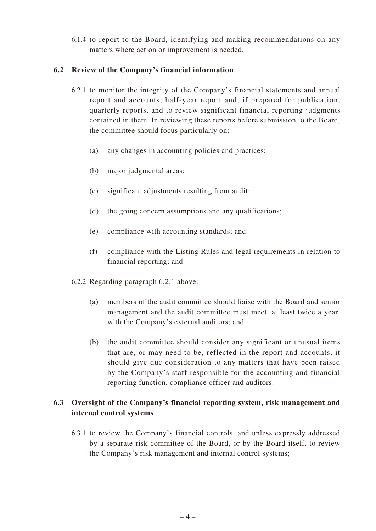6.1.4 to report to the Board, identifying and making recommendations on any matters where action or improvement is needed.

### **6.2 Review of the Company's financial information**

- 6.2.1 to monitor the integrity of the Company's financial statements and annual report and accounts, half-year report and, if prepared for publication, quarterly reports, and to review significant financial reporting judgments contained in them. In reviewing these reports before submission to the Board, the committee should focus particularly on:
	- (a) any changes in accounting policies and practices;
	- (b) major judgmental areas;
	- (c) significant adjustments resulting from audit;
	- (d) the going concern assumptions and any qualifications;
	- (e) compliance with accounting standards; and
	- (f) compliance with the Listing Rules and legal requirements in relation to financial reporting; and
- 6.2.2 Regarding paragraph 6.2.1 above:
	- (a) members of the audit committee should liaise with the Board and senior management and the audit committee must meet, at least twice a year, with the Company's external auditors; and
	- (b) the audit committee should consider any significant or unusual items that are, or may need to be, reflected in the report and accounts, it should give due consideration to any matters that have been raised by the Company's staff responsible for the accounting and financial reporting function, compliance officer and auditors.

# **6.3 Oversight of the Company's financial reporting system, risk management and internal control systems**

6.3.1 to review the Company's financial controls, and unless expressly addressed by a separate risk committee of the Board, or by the Board itself, to review the Company's risk management and internal control systems;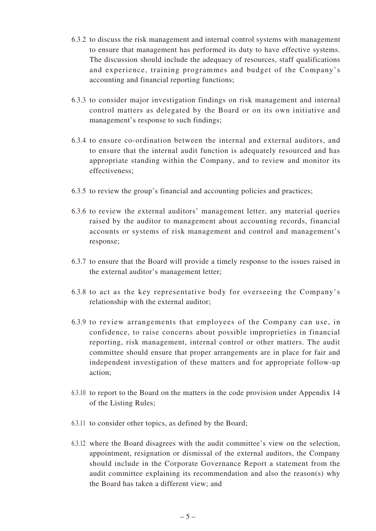- 6.3.2 to discuss the risk management and internal control systems with management to ensure that management has performed its duty to have effective systems. The discussion should include the adequacy of resources, staff qualifications and experience, training programmes and budget of the Company's accounting and financial reporting functions;
- 6.3.3 to consider major investigation findings on risk management and internal control matters as delegated by the Board or on its own initiative and management's response to such findings;
- 6.3.4 to ensure co-ordination between the internal and external auditors, and to ensure that the internal audit function is adequately resourced and has appropriate standing within the Company, and to review and monitor its effectiveness;
- 6.3.5 to review the group's financial and accounting policies and practices;
- 6.3.6 to review the external auditors' management letter, any material queries raised by the auditor to management about accounting records, financial accounts or systems of risk management and control and management's response;
- 6.3.7 to ensure that the Board will provide a timely response to the issues raised in the external auditor's management letter;
- 6.3.8 to act as the key representative body for overseeing the Company's relationship with the external auditor;
- 6.3.9 to review arrangements that employees of the Company can use, in confidence, to raise concerns about possible improprieties in financial reporting, risk management, internal control or other matters. The audit committee should ensure that proper arrangements are in place for fair and independent investigation of these matters and for appropriate follow-up action;
- 6.3.10 to report to the Board on the matters in the code provision under Appendix 14 of the Listing Rules;
- 6.3.11 to consider other topics, as defined by the Board;
- 6.3.12 where the Board disagrees with the audit committee's view on the selection, appointment, resignation or dismissal of the external auditors, the Company should include in the Corporate Governance Report a statement from the audit committee explaining its recommendation and also the reason(s) why the Board has taken a different view; and